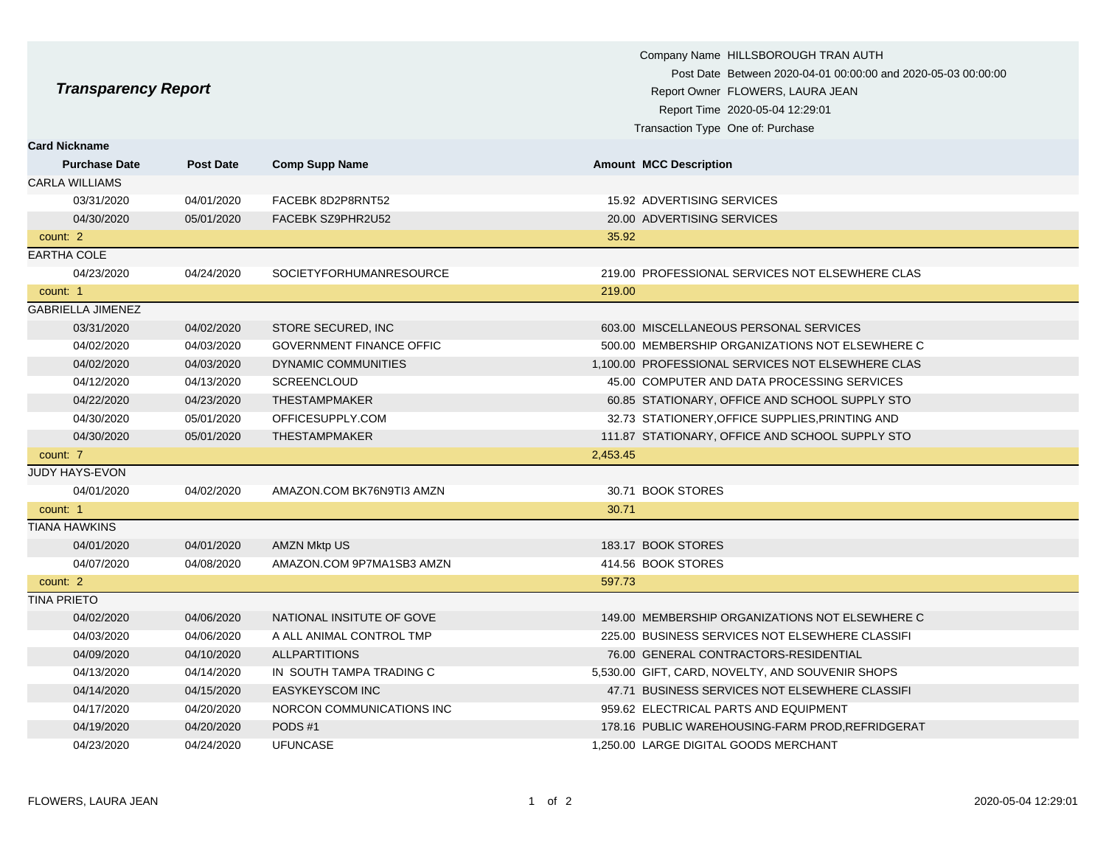| <b>Transparency Report</b> |                  |                                 | Company Name HILLSBOROUGH TRAN AUTH<br>Post Date Between 2020-04-01 00:00:00 and 2020-05-03 00:00:00<br>Report Owner FLOWERS, LAURA JEAN<br>Report Time 2020-05-04 12:29:01<br>Transaction Type One of: Purchase |
|----------------------------|------------------|---------------------------------|------------------------------------------------------------------------------------------------------------------------------------------------------------------------------------------------------------------|
| <b>Card Nickname</b>       |                  |                                 |                                                                                                                                                                                                                  |
| <b>Purchase Date</b>       | <b>Post Date</b> | <b>Comp Supp Name</b>           | <b>Amount MCC Description</b>                                                                                                                                                                                    |
| <b>CARLA WILLIAMS</b>      |                  |                                 |                                                                                                                                                                                                                  |
| 03/31/2020                 | 04/01/2020       | FACEBK 8D2P8RNT52               | 15.92 ADVERTISING SERVICES                                                                                                                                                                                       |
| 04/30/2020                 | 05/01/2020       | FACEBK SZ9PHR2U52               | 20.00 ADVERTISING SERVICES                                                                                                                                                                                       |
| count: 2                   |                  |                                 | 35.92                                                                                                                                                                                                            |
| <b>EARTHA COLE</b>         |                  |                                 |                                                                                                                                                                                                                  |
| 04/23/2020                 | 04/24/2020       | SOCIETYFORHUMANRESOURCE         | 219.00 PROFESSIONAL SERVICES NOT ELSEWHERE CLAS                                                                                                                                                                  |
| count: 1                   |                  |                                 | 219.00                                                                                                                                                                                                           |
| <b>GABRIELLA JIMENEZ</b>   |                  |                                 |                                                                                                                                                                                                                  |
| 03/31/2020                 | 04/02/2020       | STORE SECURED, INC              | 603.00 MISCELLANEOUS PERSONAL SERVICES                                                                                                                                                                           |
| 04/02/2020                 | 04/03/2020       | <b>GOVERNMENT FINANCE OFFIC</b> | 500.00 MEMBERSHIP ORGANIZATIONS NOT ELSEWHERE C                                                                                                                                                                  |
| 04/02/2020                 | 04/03/2020       | DYNAMIC COMMUNITIES             | 1,100.00 PROFESSIONAL SERVICES NOT ELSEWHERE CLAS                                                                                                                                                                |
| 04/12/2020                 | 04/13/2020       | SCREENCLOUD                     | 45.00 COMPUTER AND DATA PROCESSING SERVICES                                                                                                                                                                      |
| 04/22/2020                 | 04/23/2020       | <b>THESTAMPMAKER</b>            | 60.85 STATIONARY, OFFICE AND SCHOOL SUPPLY STO                                                                                                                                                                   |
| 04/30/2020                 | 05/01/2020       | OFFICESUPPLY.COM                | 32.73 STATIONERY, OFFICE SUPPLIES, PRINTING AND                                                                                                                                                                  |
| 04/30/2020                 | 05/01/2020       | <b>THESTAMPMAKER</b>            | 111.87 STATIONARY, OFFICE AND SCHOOL SUPPLY STO                                                                                                                                                                  |
| count: 7                   |                  |                                 | 2,453.45                                                                                                                                                                                                         |
| JUDY HAYS-EVON             |                  |                                 |                                                                                                                                                                                                                  |
| 04/01/2020                 | 04/02/2020       | AMAZON.COM BK76N9TI3 AMZN       | 30.71 BOOK STORES                                                                                                                                                                                                |
| count: 1                   |                  |                                 | 30.71                                                                                                                                                                                                            |
| <b>TIANA HAWKINS</b>       |                  |                                 |                                                                                                                                                                                                                  |
| 04/01/2020                 | 04/01/2020       | AMZN Mktp US                    | 183.17 BOOK STORES                                                                                                                                                                                               |
| 04/07/2020                 | 04/08/2020       | AMAZON.COM 9P7MA1SB3 AMZN       | 414.56 BOOK STORES                                                                                                                                                                                               |
| count: 2                   |                  |                                 | 597.73                                                                                                                                                                                                           |
| <b>TINA PRIETO</b>         |                  |                                 |                                                                                                                                                                                                                  |
| 04/02/2020                 | 04/06/2020       | NATIONAL INSITUTE OF GOVE       | 149.00 MEMBERSHIP ORGANIZATIONS NOT ELSEWHERE C                                                                                                                                                                  |
| 04/03/2020                 | 04/06/2020       | A ALL ANIMAL CONTROL TMP        | 225.00 BUSINESS SERVICES NOT ELSEWHERE CLASSIFI                                                                                                                                                                  |
| 04/09/2020                 | 04/10/2020       | <b>ALLPARTITIONS</b>            | 76.00 GENERAL CONTRACTORS-RESIDENTIAL                                                                                                                                                                            |
| 04/13/2020                 | 04/14/2020       | IN SOUTH TAMPA TRADING C        | 5,530.00 GIFT, CARD, NOVELTY, AND SOUVENIR SHOPS                                                                                                                                                                 |
| 04/14/2020                 | 04/15/2020       | <b>EASYKEYSCOM INC</b>          | 47.71 BUSINESS SERVICES NOT ELSEWHERE CLASSIFI                                                                                                                                                                   |
| 04/17/2020                 | 04/20/2020       | NORCON COMMUNICATIONS INC       | 959.62 ELECTRICAL PARTS AND EQUIPMENT                                                                                                                                                                            |
| 04/19/2020                 | 04/20/2020       | PODS#1                          | 178.16 PUBLIC WAREHOUSING-FARM PROD, REFRIDGERAT                                                                                                                                                                 |
| 04/23/2020                 | 04/24/2020       | <b>UFUNCASE</b>                 | 1,250.00 LARGE DIGITAL GOODS MERCHANT                                                                                                                                                                            |